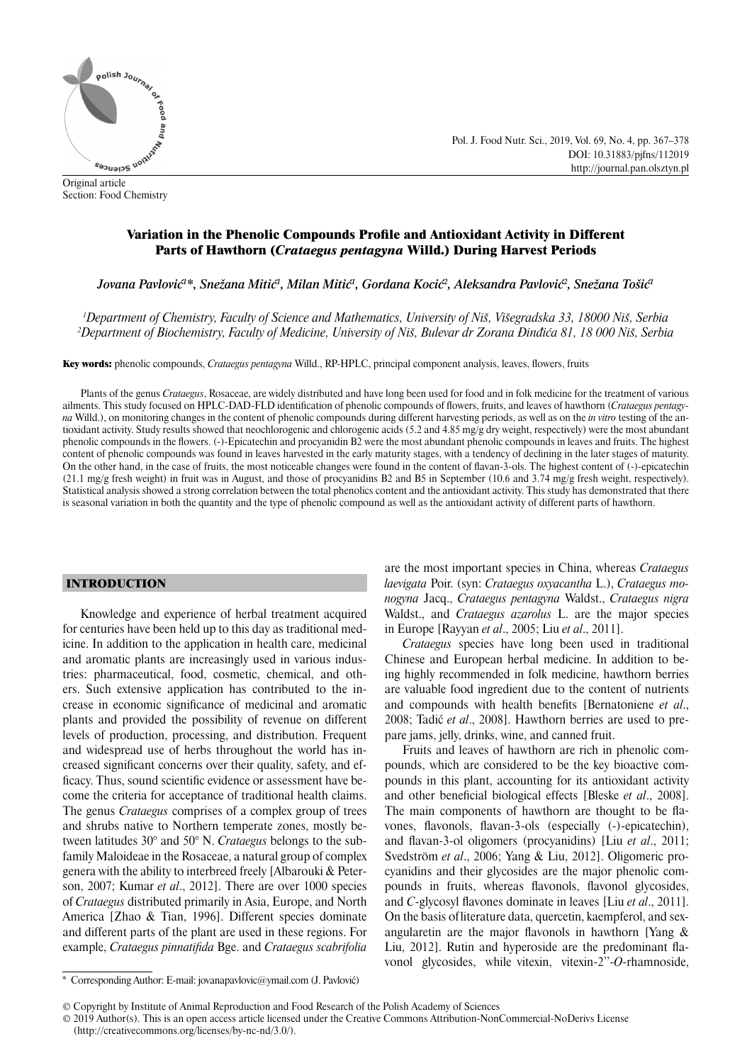

Original article Section: Food Chemistry Pol. J. Food Nutr. Sci., 2019, Vol. 69, No. 4, pp. 367–378 DOI: 10.31883/pjfns/112019 http://journal.pan.olsztyn.pl

# Variation in the Phenolic Compounds Profile and Antioxidant Activity in Different Parts of Hawthorn (*Crataegus pentagyna* Willd.) During Harvest Periods

"Jovana Pavlović<sup>1</sup>\*, Snežana Mitić<sup>1</sup>, Milan Mitić<sup>1</sup>, Gordana Kocić<sup>2</sup>, Aleksandra Pavlović<sup>2</sup>, Snežana Tošić

*1 Department of Chemistry, Faculty of Science and Mathematics, University of Niš, Višegradska 33, 18000 Niš, Serbia 2 Department of Biochemistry, Faculty of Medicine, University of Niš, Bulevar dr Zorana Đinđića 81, 18 000 Niš, Serbia*

Key words: phenolic compounds, *Crataegus pentagyna* Willd., RP-HPLC, principal component analysis, leaves, flowers, fruits

Plants of the genus *Crataegus*, Rosaceae, are widely distributed and have long been used for food and in folk medicine for the treatment of various ailments. This study focused on HPLC-DAD-FLD identification of phenolic compounds of flowers, fruits, and leaves of hawthorn (*Crataegus pentagyna* Willd.), on monitoring changes in the content of phenolic compounds during different harvesting periods, as well as on the *in vitro* testing of the antioxidant activity. Study results showed that neochlorogenic and chlorogenic acids (5.2 and 4.85 mg/g dry weight, respectively) were the most abundant phenolic compounds in the flowers. (-)-Epicatechin and procyanidin B2 were the most abundant phenolic compounds in leaves and fruits. The highest content of phenolic compounds was found in leaves harvested in the early maturity stages, with a tendency of declining in the later stages of maturity. On the other hand, in the case of fruits, the most noticeable changes were found in the content of flavan-3-ols. The highest content of (-)-epicatechin (21.1 mg/g fresh weight) in fruit was in August, and those of procyanidins B2 and B5 in September (10.6 and 3.74 mg/g fresh weight, respectively). Statistical analysis showed a strong correlation between the total phenolics content and the antioxidant activity. This study has demonstrated that there is seasonal variation in both the quantity and the type of phenolic compound as well as the antioxidant activity of different parts of hawthorn.

#### INTRODUCTION

Knowledge and experience of herbal treatment acquired for centuries have been held up to this day as traditional medicine. In addition to the application in health care, medicinal and aromatic plants are increasingly used in various industries: pharmaceutical, food, cosmetic, chemical, and others. Such extensive application has contributed to the increase in economic significance of medicinal and aromatic plants and provided the possibility of revenue on different levels of production, processing, and distribution. Frequent and widespread use of herbs throughout the world has increased significant concerns over their quality, safety, and efficacy. Thus, sound scientific evidence or assessment have become the criteria for acceptance of traditional health claims. The genus *Crataegus* comprises of a complex group of trees and shrubs native to Northern temperate zones, mostly between latitudes 30° and 50° N. *Crataegus* belongs to the subfamily Maloideae in the Rosaceae, a natural group of complex genera with the ability to interbreed freely [Albarouki & Peterson, 2007; Kumar *et al*., 2012]. There are over 1000 species of *Crataegus* distributed primarily in Asia, Europe, and North America [Zhao & Tian, 1996]. Different species dominate and different parts of the plant are used in these regions. For example, *Crataegus pinnatifida* Bge. and *Crataegus scabrifolia*  are the most important species in China, whereas *Crataegus laevigata* Poir. (syn: *Crataegus oxyacantha* L.), *Crataegus monogyna* Jacq., *Crataegus pentagyna* Waldst., *Crataegus nigra* Waldst., and *Crataegus azarolus* L. are the major species in Europe [Rayyan *et al*., 2005; Liu *et al*., 2011].

*Crataegus* species have long been used in traditional Chinese and European herbal medicine. In addition to being highly recommended in folk medicine, hawthorn berries are valuable food ingredient due to the content of nutrients and compounds with health benefits [Bernatoniene *et al.*, 2008; Tadić *et al*., 2008]. Hawthorn berries are used to prepare jams, jelly, drinks, wine, and canned fruit.

Fruits and leaves of hawthorn are rich in phenolic compounds, which are considered to be the key bioactive compounds in this plant, accounting for its antioxidant activity and other beneficial biological effects [Bleske *et al.*, 2008]. The main components of hawthorn are thought to be flavones, flavonols, flavan-3-ols (especially (-)-epicatechin), and flavan-3-ol oligomers (procyanidins) [Liu *et al.*, 2011; Svedström *et al*., 2006; Yang & Liu, 2012]. Oligomeric procyanidins and their glycosides are the major phenolic compounds in fruits, whereas flavonols, flavonol glycosides, and *C*-glycosyl flavones dominate in leaves [Liu *et al.*, 2011]. On the basis ofliterature data, quercetin, kaempferol, and sexangularetin are the major flavonols in hawthorn [Yang  $\&$ Liu, 2012]. Rutin and hyperoside are the predominant flavonol glycosides, while vitexin, vitexin-2''-*O*-rhamnoside,

<sup>\*</sup> Corresponding Author: E-mail: jovanapavlovic@ymail.com (J. Pavlović)

<sup>©</sup> Copyright by Institute of Animal Reproduction and Food Research of the Polish Academy of Sciences

<sup>© 2019</sup> Author(s). This is an open access article licensed under the Creative Commons Attribution-NonCommercial-NoDerivs License (http://creativecommons.org/licenses/by-nc-nd/3.0/).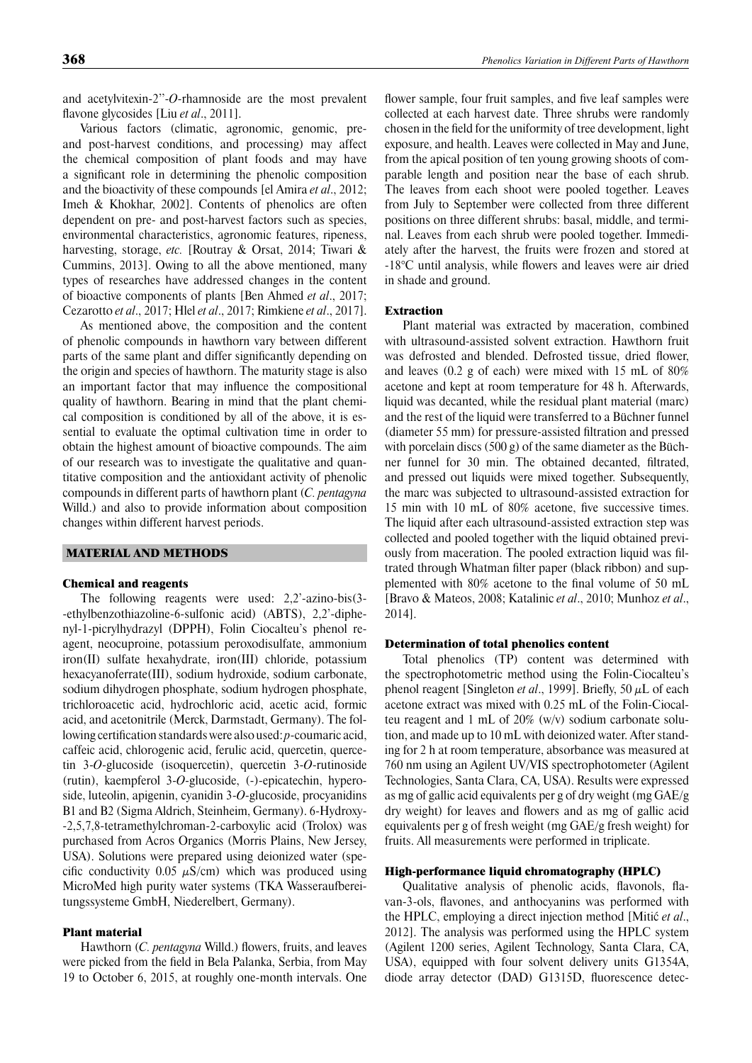and acetylvitexin-2''-*O*-rhamnoside are the most prevalent flavone glycosides [Liu *et al.*, 2011].

Various factors (climatic, agronomic, genomic, preand post-harvest conditions, and processing) may affect the chemical composition of plant foods and may have a significant role in determining the phenolic composition and the bioactivity of these compounds [el Amira *et al*., 2012; Imeh & Khokhar, 2002]. Contents of phenolics are often dependent on pre- and post-harvest factors such as species, environmental characteristics, agronomic features, ripeness, harvesting, storage, *etc.* [Routray & Orsat, 2014; Tiwari & Cummins, 2013]. Owing to all the above mentioned, many types of researches have addressed changes in the content of bioactive components of plants [Ben Ahmed *et al*., 2017; Cezarotto *et al*., 2017; Hlel *et al*., 2017; Rimkiene *et al*., 2017].

As mentioned above, the composition and the content of phenolic compounds in hawthorn vary between different parts of the same plant and differ significantly depending on the origin and species of hawthorn. The maturity stage is also an important factor that may influence the compositional quality of hawthorn. Bearing in mind that the plant chemical composition is conditioned by all of the above, it is essential to evaluate the optimal cultivation time in order to obtain the highest amount of bioactive compounds. The aim of our research was to investigate the qualitative and quantitative composition and the antioxidant activity of phenolic compounds in different parts of hawthorn plant (*C. pentagyna* Willd.) and also to provide information about composition changes within different harvest periods.

### MATERIAL AND METHODS

#### Chemical and reagents

The following reagents were used: 2,2'-azino-bis(3- -ethylbenzothiazoline-6-sulfonic acid) (ABTS), 2,2'-diphenyl-1-picrylhydrazyl (DPPH), Folin Ciocalteu's phenol reagent, neocuproine, potassium peroxodisulfate, ammonium iron(II) sulfate hexahydrate, iron(III) chloride, potassium hexacyanoferrate(III), sodium hydroxide, sodium carbonate, sodium dihydrogen phosphate, sodium hydrogen phosphate, trichloroacetic acid, hydrochloric acid, acetic acid, formic acid, and acetonitrile (Merck, Darmstadt, Germany). The following certification standards were also used: *p*-coumaric acid, caffeic acid, chlorogenic acid, ferulic acid, quercetin, quercetin 3-*O*-glucoside (isoquercetin), quercetin 3-*O*-rutinoside (rutin), kaempferol 3-*O*-glucoside, (-)-epicatechin, hyperoside, luteolin, apigenin, cyanidin 3-*O*-glucoside, procyanidins B1 and B2 (Sigma Aldrich, Steinheim, Germany). 6-Hydroxy- -2,5,7,8-tetramethylchroman-2-carboxylic acid (Trolox) was purchased from Acros Organics (Morris Plains, New Jersey, USA). Solutions were prepared using deionized water (specific conductivity 0.05  $\mu$ S/cm) which was produced using MicroMed high purity water systems (TKA Wasseraufbereitungssysteme GmbH, Niederelbert, Germany).

### Plant material

Hawthorn (*C. pentagyna* Willd.) flowers, fruits, and leaves were picked from the field in Bela Palanka, Serbia, from May 19 to October 6, 2015, at roughly one-month intervals. One flower sample, four fruit samples, and five leaf samples were collected at each harvest date. Three shrubs were randomly chosen in the field for the uniformity of tree development, light exposure, and health. Leaves were collected in May and June, from the apical position of ten young growing shoots of comparable length and position near the base of each shrub. The leaves from each shoot were pooled together. Leaves from July to September were collected from three different positions on three different shrubs: basal, middle, and terminal. Leaves from each shrub were pooled together. Immediately after the harvest, the fruits were frozen and stored at  $-18^{\circ}$ C until analysis, while flowers and leaves were air dried in shade and ground.

#### Extraction

Plant material was extracted by maceration, combined with ultrasound-assisted solvent extraction. Hawthorn fruit was defrosted and blended. Defrosted tissue, dried flower, and leaves (0.2 g of each) were mixed with 15 mL of 80% acetone and kept at room temperature for 48 h. Afterwards, liquid was decanted, while the residual plant material (marc) and the rest of the liquid were transferred to a Büchner funnel (diameter 55 mm) for pressure-assisted filtration and pressed with porcelain discs (500 g) of the same diameter as the Büchner funnel for 30 min. The obtained decanted, filtrated, and pressed out liquids were mixed together. Subsequently, the marc was subjected to ultrasound-assisted extraction for 15 min with 10 mL of 80% acetone, five successive times. The liquid after each ultrasound-assisted extraction step was collected and pooled together with the liquid obtained previously from maceration. The pooled extraction liquid was filtrated through Whatman filter paper (black ribbon) and supplemented with 80% acetone to the final volume of 50 mL [Bravo & Mateos, 2008; Katalinic *et al*., 2010; Munhoz *et al*., 2014].

#### Determination of total phenolics content

Total phenolics (TP) content was determined with the spectrophotometric method using the Folin-Ciocalteu's phenol reagent [Singleton *et al.*, 1999]. Briefly, 50 μL of each acetone extract was mixed with 0.25 mL of the Folin-Ciocalteu reagent and 1 mL of 20% (w/v) sodium carbonate solution, and made up to 10 mL with deionized water. After standing for 2 h at room temperature, absorbance was measured at 760 nm using an Agilent UV/VIS spectrophotometer (Agilent Technologies, Santa Clara, CA, USA). Results were expressed as mg of gallic acid equivalents per g of dry weight (mg GAE/g dry weight) for leaves and flowers and as mg of gallic acid equivalents per g of fresh weight (mg GAE/g fresh weight) for fruits. All measurements were performed in triplicate.

#### High-performance liquid chromatography (HPLC)

Qualitative analysis of phenolic acids, flavonols, flavan-3-ols, flavones, and anthocyanins was performed with the HPLC, employing a direct injection method [Mitić *et al*., 2012]. The analysis was performed using the HPLC system (Agilent 1200 series, Agilent Technology, Santa Clara, CA, USA), equipped with four solvent delivery units G1354A, diode array detector (DAD) G1315D, fluorescence detec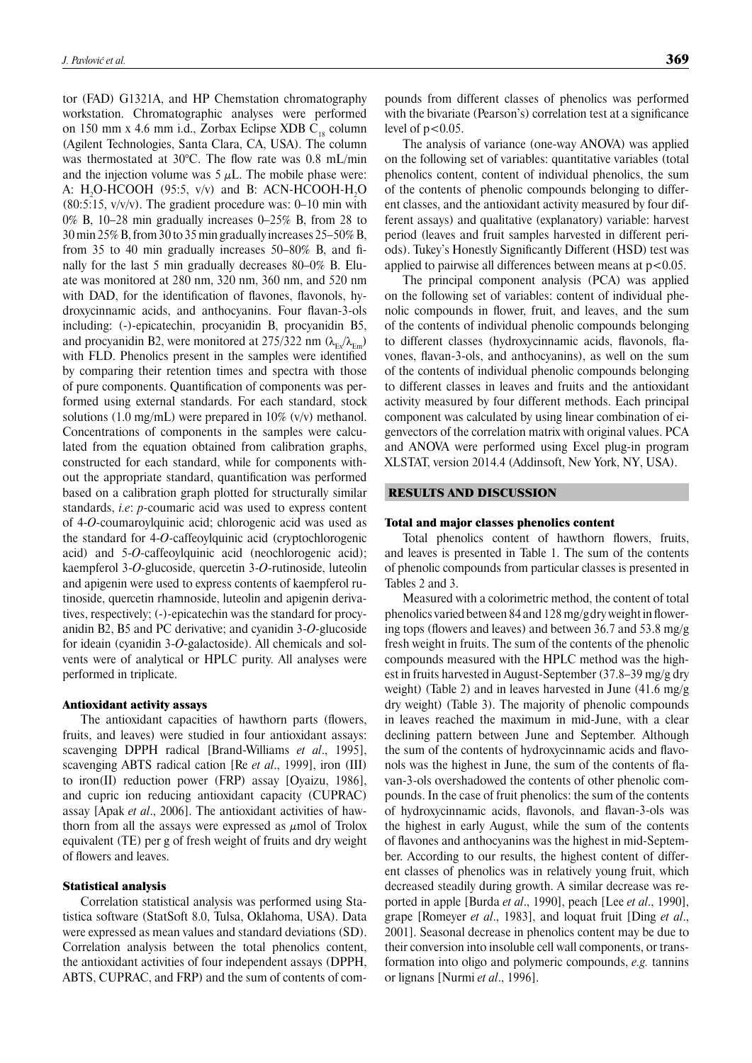tor (FAD) G1321A, and HP Chemstation chromatography workstation. Chromatographic analyses were performed on 150 mm x 4.6 mm i.d., Zorbax Eclipse XDB  $C_{18}$  column (Agilent Technologies, Santa Clara, CA, USA). The column was thermostated at 30°C. The flow rate was 0.8 mL/min and the injection volume was  $5 \mu L$ . The mobile phase were: A: H<sub>2</sub>O-HCOOH (95:5,  $v/v$ ) and B: ACN-HCOOH-H<sub>2</sub>O  $(80:5:15, v/v/v)$ . The gradient procedure was: 0–10 min with 0% B, 10–28 min gradually increases 0–25% B, from 28 to 30 min 25% B, from 30 to 35 min gradually increases 25–50% B, from 35 to 40 min gradually increases  $50-80\%$  B, and finally for the last 5 min gradually decreases 80–0% B. Eluate was monitored at 280 nm, 320 nm, 360 nm, and 520 nm with DAD, for the identification of flavones, flavonols, hydroxycinnamic acids, and anthocyanins. Four flavan-3-ols including: (-)-epicatechin, procyanidin B, procyanidin B5, and procyanidin B2, were monitored at 275/322 nm  $(\lambda_{F_v}/\lambda_{F_m})$ with FLD. Phenolics present in the samples were identified by comparing their retention times and spectra with those of pure components. Quantification of components was performed using external standards. For each standard, stock solutions (1.0 mg/mL) were prepared in  $10\%$  (v/v) methanol. Concentrations of components in the samples were calculated from the equation obtained from calibration graphs, constructed for each standard, while for components without the appropriate standard, quantification was performed based on a calibration graph plotted for structurally similar standards, *i.e*: *p*-coumaric acid was used to express content of 4-*O*-coumaroylquinic acid; chlorogenic acid was used as the standard for 4-*O*-caffeoylquinic acid (cryptochlorogenic acid) and 5-*O*-caffeoylquinic acid (neochlorogenic acid); kaempferol 3-*O*-glucoside, quercetin 3-*O*-rutinoside, luteolin and apigenin were used to express contents of kaempferol rutinoside, quercetin rhamnoside, luteolin and apigenin derivatives, respectively; (-)-epicatechin was the standard for procyanidin B2, B5 and PC derivative; and cyanidin 3-*O*-glucoside for ideain (cyanidin 3-*O*-galactoside). All chemicals and solvents were of analytical or HPLC purity. All analyses were performed in triplicate.

#### Antioxidant activity assays

The antioxidant capacities of hawthorn parts (flowers, fruits, and leaves) were studied in four antioxidant assays: scavenging DPPH radical [Brand-Williams *et al*., 1995], scavenging ABTS radical cation [Re *et al*., 1999], iron (III) to iron(II) reduction power (FRP) assay [Oyaizu, 1986], and cupric ion reducing antioxidant capacity (CUPRAC) assay [Apak *et al*., 2006]. The antioxidant activities of hawthorn from all the assays were expressed as  $\mu$ mol of Trolox equivalent (TE) per g of fresh weight of fruits and dry weight of flowers and leaves.

### Statistical analysis

Correlation statistical analysis was performed using Statistica software (StatSoft 8.0, Tulsa, Oklahoma, USA). Data were expressed as mean values and standard deviations (SD). Correlation analysis between the total phenolics content, the antioxidant activities of four independent assays (DPPH, ABTS, CUPRAC, and FRP) and the sum of contents of com-

pounds from different classes of phenolics was performed with the bivariate (Pearson's) correlation test at a significance level of  $p<0.05$ .

The analysis of variance (one-way ANOVA) was applied on the following set of variables: quantitative variables (total phenolics content, content of individual phenolics, the sum of the contents of phenolic compounds belonging to different classes, and the antioxidant activity measured by four different assays) and qualitative (explanatory) variable: harvest period (leaves and fruit samples harvested in different periods). Tukey's Honestly Significantly Different (HSD) test was applied to pairwise all differences between means at  $p < 0.05$ .

The principal component analysis (PCA) was applied on the following set of variables: content of individual phenolic compounds in flower, fruit, and leaves, and the sum of the contents of individual phenolic compounds belonging to different classes (hydroxycinnamic acids, flavonols, flavones, flavan-3-ols, and anthocyanins), as well on the sum of the contents of individual phenolic compounds belonging to different classes in leaves and fruits and the antioxidant activity measured by four different methods. Each principal component was calculated by using linear combination of eigenvectors of the correlation matrix with original values. PCA and ANOVA were performed using Excel plug-in program XLSTAT, version 2014.4 (Addinsoft, New York, NY, USA).

### RESULTS AND DISCUSSION

#### Total and major classes phenolics content

Total phenolics content of hawthorn flowers, fruits, and leaves is presented in Table 1. The sum of the contents of phenolic compounds from particular classes is presented in Tables 2 and 3.

Measured with a colorimetric method, the content of total phenolics varied between 84 and 128 mg/gdry weight in flowering tops (flowers and leaves) and between 36.7 and 53.8 mg/g fresh weight in fruits. The sum of the contents of the phenolic compounds measured with the HPLC method was the highest in fruits harvested in August-September (37.8–39 mg/g dry weight) (Table 2) and in leaves harvested in June (41.6 mg/g dry weight) (Table 3). The majority of phenolic compounds in leaves reached the maximum in mid-June, with a clear declining pattern between June and September. Although the sum of the contents of hydroxycinnamic acids and flavonols was the highest in June, the sum of the contents of flavan-3-ols overshadowed the contents of other phenolic compounds. In the case of fruit phenolics: the sum of the contents of hydroxycinnamic acids, flavonols, and flavan-3-ols was the highest in early August, while the sum of the contents of flavones and anthocyanins was the highest in mid-September. According to our results, the highest content of different classes of phenolics was in relatively young fruit, which decreased steadily during growth. A similar decrease was reported in apple [Burda *et al*., 1990], peach [Lee *et al*., 1990], grape [Romeyer *et al*., 1983], and loquat fruit [Ding *et al*., 2001]. Seasonal decrease in phenolics content may be due to their conversion into insoluble cell wall components, or transformation into oligo and polymeric compounds, *e.g.* tannins or lignans [Nurmi *et al*., 1996].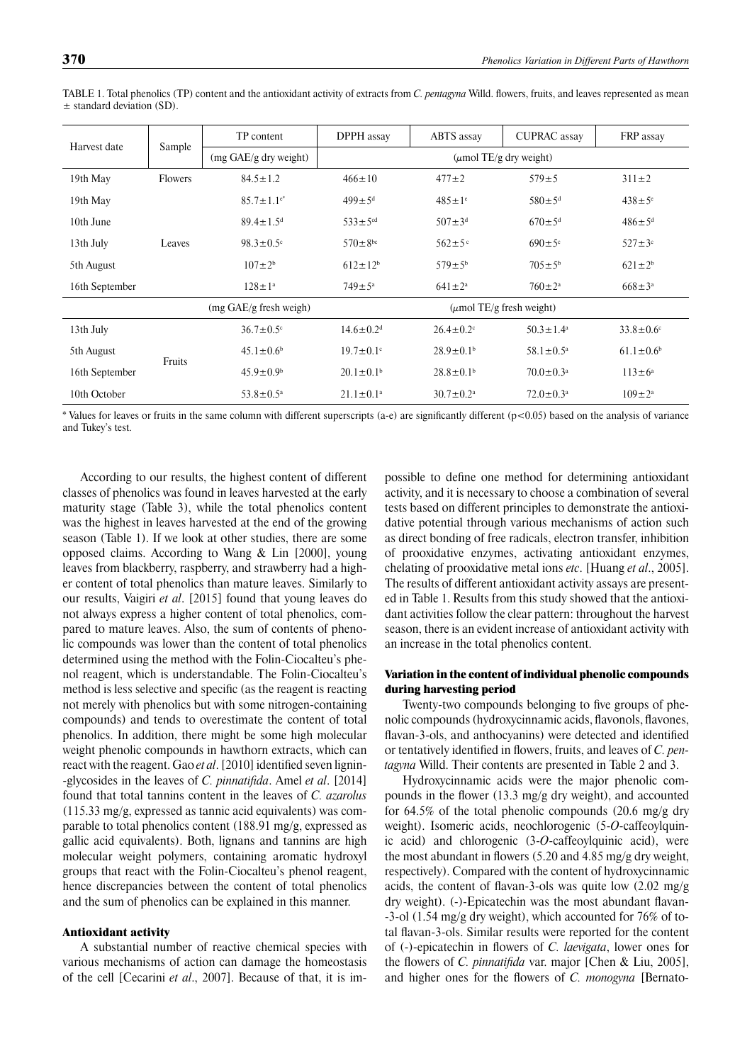| Harvest date   |         | TP content                               | DPPH assay<br>ABTS assay    |                               | <b>CUPRAC</b> assay         | FRP assay                   |  |
|----------------|---------|------------------------------------------|-----------------------------|-------------------------------|-----------------------------|-----------------------------|--|
|                | Sample  | $(mg \text{ GAE/g} \text{ dry weight})$  |                             |                               | $(\mu$ mol TE/g dry weight) |                             |  |
| 19th May       | Flowers | $84.5 \pm 1.2$                           | $466 \pm 10$                | $477 + 2$                     |                             | $311 \pm 2$                 |  |
| 19th May       |         | $85.7 \pm 1.1$ <sup>e*</sup>             | $499 \pm 5^{\rm d}$         | $485 \pm 1$ <sup>e</sup>      |                             | $438 \pm 5$ °               |  |
| 10th June      |         | $89.4 \pm 1.5$ <sup>d</sup>              | $533 \pm 5$ <sup>cd</sup>   | $507 \pm 3^d$                 |                             | $486 \pm 5^{\rm d}$         |  |
| 13th July      | Leaves  | $98.3 \pm 0.5$ <sup>c</sup>              | $570 \pm 8^{bc}$            | $562 \pm 5$ °                 | $690 \pm 5$ °               | $527 \pm 3$ °               |  |
| 5th August     |         | $107 \pm 2^{b}$                          | $612 \pm 12^{b}$            | $579 \pm 5^{\rm b}$           |                             | $621 \pm 2^{6}$             |  |
| 16th September |         | $128 \pm 1^a$                            | $749 \pm 5^{\rm a}$         | $641 \pm 2^a$                 | $760 \pm 2^{\rm a}$         | $668 \pm 3^{\circ}$         |  |
|                |         | $(mg \text{ GAE/g} \text{ fresh weigh})$ |                             | $(\mu$ mol TE/g fresh weight) |                             |                             |  |
| 13th July      |         | $36.7 \pm 0.5$ <sup>c</sup>              | $14.6 \pm 0.2$ <sup>d</sup> | $26.4 \pm 0.2$                | $50.3 \pm 1.4^{\circ}$      | $33.8 \pm 0.6$ <sup>c</sup> |  |
| 5th August     | Fruits  | $45.1 \pm 0.6^b$                         | $19.7 \pm 0.1$ °            | $28.9 \pm 0.1$ <sup>b</sup>   | $58.1 \pm 0.5^{\text{a}}$   | $61.1 \pm 0.6$ <sup>b</sup> |  |
| 16th September |         | $45.9 \pm 0.9^{\circ}$                   | $20.1 \pm 0.1^{\rm b}$      | $28.8 \pm 0.1$ <sup>b</sup>   | $70.0 \pm 0.3^{\text{a}}$   | $113 \pm 6^a$               |  |
| 10th October   |         | $53.8 \pm 0.5^{\circ}$                   | $21.1 \pm 0.1^a$            | $30.7 \pm 0.2$ <sup>a</sup>   | $72.0 \pm 0.3$ <sup>a</sup> | $109 \pm 2^{\rm a}$         |  |

TABLE 1. Total phenolics (TP) content and the antioxidant activity of extracts from *C. pentagyna* Willd. flowers, fruits, and leaves represented as mean  $±$  standard deviation (SD).

\* Values for leaves or fruits in the same column with different superscripts (a-e) are signifi cantly different (p<0.05) based on the analysis of variance and Tukey's test.

According to our results, the highest content of different classes of phenolics was found in leaves harvested at the early maturity stage (Table 3), while the total phenolics content was the highest in leaves harvested at the end of the growing season (Table 1). If we look at other studies, there are some opposed claims. According to Wang & Lin [2000], young leaves from blackberry, raspberry, and strawberry had a higher content of total phenolics than mature leaves. Similarly to our results, Vaigiri *et al*. [2015] found that young leaves do not always express a higher content of total phenolics, compared to mature leaves. Also, the sum of contents of phenolic compounds was lower than the content of total phenolics determined using the method with the Folin-Ciocalteu's phenol reagent, which is understandable. The Folin-Ciocalteu's method is less selective and specific (as the reagent is reacting not merely with phenolics but with some nitrogen-containing compounds) and tends to overestimate the content of total phenolics. In addition, there might be some high molecular weight phenolic compounds in hawthorn extracts, which can react with the reagent. Gao *et al*. [2010] identified seven lignin--glycosides in the leaves of *C. pinnatifida*. Amel *et al.* [2014] found that total tannins content in the leaves of *C. azarolus* (115.33 mg/g, expressed as tannic acid equivalents) was comparable to total phenolics content (188.91 mg/g, expressed as gallic acid equivalents). Both, lignans and tannins are high molecular weight polymers, containing aromatic hydroxyl groups that react with the Folin-Ciocalteu's phenol reagent, hence discrepancies between the content of total phenolics and the sum of phenolics can be explained in this manner.

### Antioxidant activity

A substantial number of reactive chemical species with various mechanisms of action can damage the homeostasis of the cell [Cecarini *et al*., 2007]. Because of that, it is impossible to define one method for determining antioxidant activity, and it is necessary to choose a combination of several tests based on different principles to demonstrate the antioxidative potential through various mechanisms of action such as direct bonding of free radicals, electron transfer, inhibition of prooxidative enzymes, activating antioxidant enzymes, chelating of prooxidative metal ions *etc*. [Huang *et al*., 2005]. The results of different antioxidant activity assays are presented in Table 1. Results from this study showed that the antioxidant activities follow the clear pattern: throughout the harvest season, there is an evident increase of antioxidant activity with an increase in the total phenolics content.

# Variation in the content of individual phenolic compounds during harvesting period

Twenty-two compounds belonging to five groups of phenolic compounds (hydroxycinnamic acids, flavonols, flavones, flavan-3-ols, and anthocyanins) were detected and identified or tentatively identified in flowers, fruits, and leaves of *C. pentagyna* Willd. Their contents are presented in Table 2 and 3.

Hydroxycinnamic acids were the major phenolic compounds in the flower (13.3 mg/g dry weight), and accounted for 64.5% of the total phenolic compounds (20.6 mg/g dry weight). Isomeric acids, neochlorogenic (5-*O*-caffeoylquinic acid) and chlorogenic (3-*O*-caffeoylquinic acid), were the most abundant in flowers  $(5.20 \text{ and } 4.85 \text{ mg/g dry weight},$ respectively). Compared with the content of hydroxycinnamic acids, the content of flavan-3-ols was quite low  $(2.02 \text{ mg/g})$ dry weight). (-)-Epicatechin was the most abundant flavan--3-ol (1.54 mg/g dry weight), which accounted for 76% of total flavan-3-ols. Similar results were reported for the content of (-)-epicatechin in flowers of *C. laevigata*, lower ones for the flowers of *C. pinnatifida* var. major [Chen & Liu, 2005], and higher ones for the flowers of *C. monogyna* [Bernato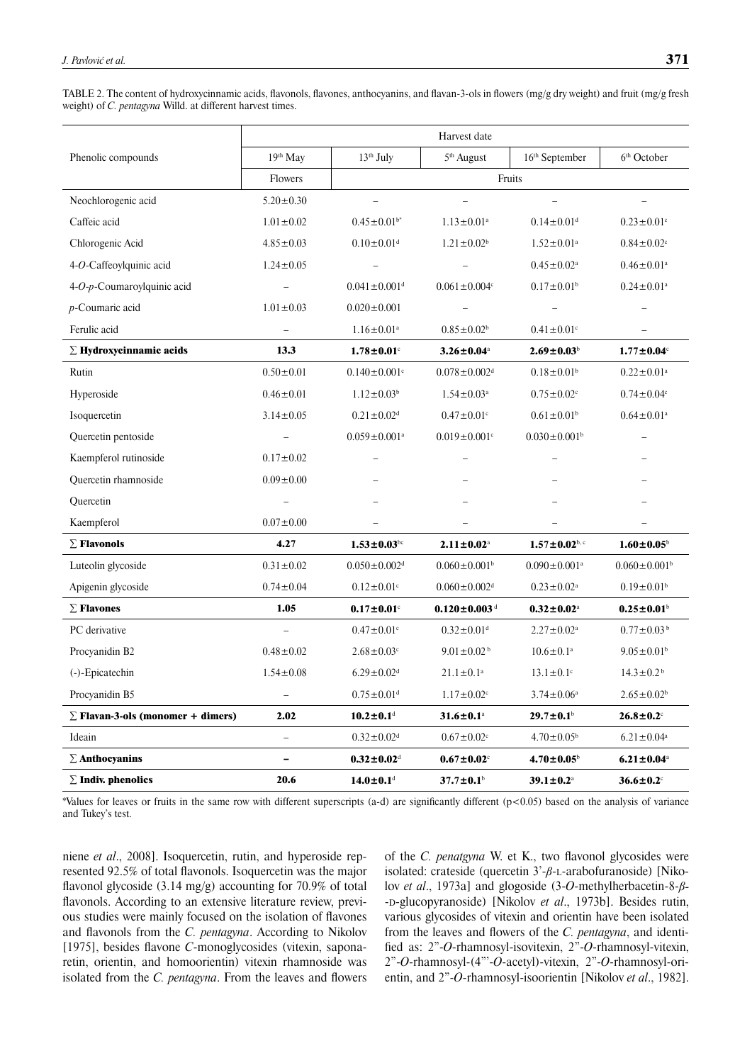TABLE 2. The content of hydroxycinnamic acids, flavonols, flavones, anthocyanins, and flavan-3-ols in flowers (mg/g dry weight) and fruit (mg/g fresh weight) of *C. pentagyna* Willd. at different harvest times.

|                                          | Harvest date                 |                                                       |                                                      |                                |                                |  |  |  |
|------------------------------------------|------------------------------|-------------------------------------------------------|------------------------------------------------------|--------------------------------|--------------------------------|--|--|--|
| Phenolic compounds                       | 19th May                     | $13th$ July                                           | 5 <sup>th</sup> August<br>16 <sup>th</sup> September |                                | 6 <sup>th</sup> October        |  |  |  |
|                                          | Flowers                      | Fruits                                                |                                                      |                                |                                |  |  |  |
| Neochlorogenic acid                      | $5.20 \pm 0.30$              |                                                       |                                                      |                                |                                |  |  |  |
| Caffeic acid                             | $1.01 \pm 0.02$              | $0.45 \pm 0.01$ <sup>b*</sup>                         | $1.13 \pm 0.01^a$                                    | $0.14 \pm 0.01$ <sup>d</sup>   | $0.23 \pm 0.01$ <sup>c</sup>   |  |  |  |
| Chlorogenic Acid                         | $4.85 \pm 0.03$              | $0.10 \pm 0.01$ <sup>d</sup>                          | $1.21 \pm 0.02^b$                                    | $1.52 \pm 0.01^a$              | $0.84 \pm 0.02$ <sup>c</sup>   |  |  |  |
| 4-O-Caffeoylquinic acid                  | $1.24 \pm 0.05$              |                                                       |                                                      | $0.45 \pm 0.02$ <sup>a</sup>   | $0.46 \pm 0.01$ <sup>a</sup>   |  |  |  |
| 4-O-p-Coumaroylquinic acid               |                              | $0.041 \pm 0.001$ <sup>d</sup><br>$0.061 \pm 0.004$ c |                                                      | $0.17 \pm 0.01$ <sup>b</sup>   | $0.24 \pm 0.01$ <sup>a</sup>   |  |  |  |
| $p$ -Coumaric acid                       | $1.01 \pm 0.03$              | $0.020 \pm 0.001$                                     |                                                      |                                |                                |  |  |  |
| Ferulic acid                             |                              | $1.16 \pm 0.01^a$                                     | $0.85 \pm 0.02$ <sup>b</sup>                         |                                |                                |  |  |  |
| $\Sigma$ Hydroxycinnamic acids           | 13.3                         | $1.78 \pm 0.01$ <sup>c</sup>                          | $3.26 \pm 0.04^{\text{a}}$                           | $2.69 \pm 0.03^b$              | $1.77 \pm 0.04^{\circ}$        |  |  |  |
| Rutin                                    | $0.50 \pm 0.01$              | $0.140 \pm 0.001$ c                                   | $0.078 \pm 0.002$ <sup>d</sup>                       | $0.18 \pm 0.01$ <sup>b</sup>   | $0.22 \pm 0.01$ <sup>a</sup>   |  |  |  |
| Hyperoside                               | $0.46 \pm 0.01$              | $1.12 \pm 0.03^b$                                     | $1.54 \pm 0.03$ <sup>a</sup>                         | $0.75 \pm 0.02$ <sup>c</sup>   | $0.74 \pm 0.04$ c              |  |  |  |
| Isoquercetin                             | $3.14 \pm 0.05$              | $0.21 \pm 0.02$ <sup>d</sup>                          | $0.47 \pm 0.01$ c                                    | $0.61 \pm 0.01$ <sup>b</sup>   | $0.64 \pm 0.01$ <sup>a</sup>   |  |  |  |
| Quercetin pentoside                      |                              | $0.059 \pm 0.001$ <sup>a</sup>                        | $0.019 \pm 0.001$ <sup>c</sup>                       | $0.030 \pm 0.001$ <sup>b</sup> |                                |  |  |  |
| Kaempferol rutinoside                    | $0.17 \pm 0.02$              |                                                       |                                                      |                                |                                |  |  |  |
| Quercetin rhamnoside                     | $0.09 \pm 0.00$              |                                                       |                                                      |                                |                                |  |  |  |
| Quercetin                                |                              |                                                       |                                                      |                                |                                |  |  |  |
| Kaempferol                               | $0.07 \pm 0.00$              |                                                       |                                                      |                                |                                |  |  |  |
| $\Sigma$ Flavonols                       | 4.27                         | $1.53 \pm 0.03$ bc                                    | $2.11 \pm 0.02^{\text{a}}$                           | $1.57 \pm 0.02^{\rm b,c}$      | $1.60 \pm 0.05^b$              |  |  |  |
| Luteolin glycoside                       | $0.31 \pm 0.02$              | $0.050 \pm 0.002$ <sup>d</sup>                        | $0.060 \pm 0.001$ <sup>b</sup>                       | $0.090 \pm 0.001$ <sup>a</sup> | $0.060 \pm 0.001$ <sup>b</sup> |  |  |  |
| Apigenin glycoside                       | $0.74 \pm 0.04$              | $0.12 \pm 0.01$ c                                     | $0.060 \pm 0.002$ <sup>d</sup>                       | $0.23 \pm 0.02^a$              | $0.19 \pm 0.01$ <sup>b</sup>   |  |  |  |
| $\Sigma$ Flavones                        | 1.05                         | $0.17 \pm 0.01$ <sup>c</sup>                          | $0.120 \pm 0.003$ <sup>d</sup>                       | $0.32 \pm 0.02^{\rm a}$        | $0.25 \pm 0.01$                |  |  |  |
| PC derivative                            |                              | $0.47 \pm 0.01$ c                                     | $0.32 \pm 0.01$ <sup>d</sup>                         | $2.27 \pm 0.02^a$              | $0.77 \pm 0.03$ <sup>b</sup>   |  |  |  |
| Procyanidin B2                           | $0.48 \pm 0.02$              | $2.68 \pm 0.03$ <sup>c</sup>                          | $9.01 \pm 0.02^{\mathrm{b}}$                         | $10.6 \pm 0.1^a$               | $9.05 \pm 0.01^b$              |  |  |  |
| (-)-Epicatechin                          | $1.54 \pm 0.08$              | $6.29 \pm 0.02$ <sup>d</sup>                          | $21.1 \pm 0.1$ <sup>a</sup>                          | $13.1 \pm 0.1$ <sup>c</sup>    | $14.3 \pm 0.2^{\circ}$         |  |  |  |
| Procyanidin B5                           | $\equiv$                     | $0.75\!\pm\!0.01^{\rm d}$                             | $1.17 \pm 0.02$ <sup>c</sup>                         | $3.74 \pm 0.06^a$              | $2.65\pm0.02^{\rm b}$          |  |  |  |
| $\Sigma$ Flavan-3-ols (monomer + dimers) | 2.02                         | $10.2 \pm 0.1$ <sup>d</sup>                           | $31.6 \pm 0.1^{\text{a}}$                            | $29.7 \pm 0.1$ <sup>b</sup>    | $26.8 \pm 0.2$                 |  |  |  |
| Ideain                                   | $\equiv$                     | $0.32 \pm 0.02$ <sup>d</sup>                          | $0.67 \pm 0.02$ <sup>c</sup>                         | $4.70 \pm 0.05^b$              | $6.21 \pm 0.04$ <sup>a</sup>   |  |  |  |
| $\Sigma$ Anthocyanins                    | $\qquad \qquad \blacksquare$ | $0.32 \pm 0.02$ <sup>d</sup>                          | $0.67 \pm 0.02$                                      | $4.70 \pm 0.05^{\circ}$        | $6.21 \pm 0.04^{\text{a}}$     |  |  |  |
| $\Sigma$ Indiv. phenolics                | 20.6                         | $14.0 \pm 0.1$ <sup>d</sup>                           | $37.7 \pm 0.1$ <sup>b</sup>                          | $39.1 \pm 0.2$ <sup>a</sup>    | $36.6 \pm 0.2$                 |  |  |  |

\*Values for leaves or fruits in the same row with different superscripts (a-d) are significantly different (p<0.05) based on the analysis of variance and Tukey's test.

niene *et al*., 2008]. Isoquercetin, rutin, and hyperoside represented 92.5% of total flavonols. Isoquercetin was the major flavonol glycoside  $(3.14 \text{ mg/g})$  accounting for 70.9% of total flavonols. According to an extensive literature review, previous studies were mainly focused on the isolation of flavones and flavonols from the *C. pentagyna*. According to Nikolov [1975], besides flavone *C*-monoglycosides (vitexin, saponaretin, orientin, and homoorientin) vitexin rhamnoside was isolated from the *C. pentagyna*. From the leaves and flowers of the *C. penatgyna* W. et K., two flavonol glycosides were isolated: crateside (quercetin 3'-*β*-L-arabofuranoside) [Nikolov *et al*., 1973a] and glogoside (3-*O*-methylherbacetin-8-*β-* -D-glucopyranoside) [Nikolov *et al*., 1973b]. Besides rutin, various glycosides of vitexin and orientin have been isolated from the leaves and flowers of the *C. pentagyna*, and identified as: 2"-O-rhamnosyl-isovitexin, 2"-O-rhamnosyl-vitexin, 2"-*O*-rhamnosyl-(4"'-*O*-acetyl)-vitexin, 2"-*O*-rhamnosyl-orientin, and 2"-*O*-rhamnosyl-isoorientin [Nikolov *et al*., 1982].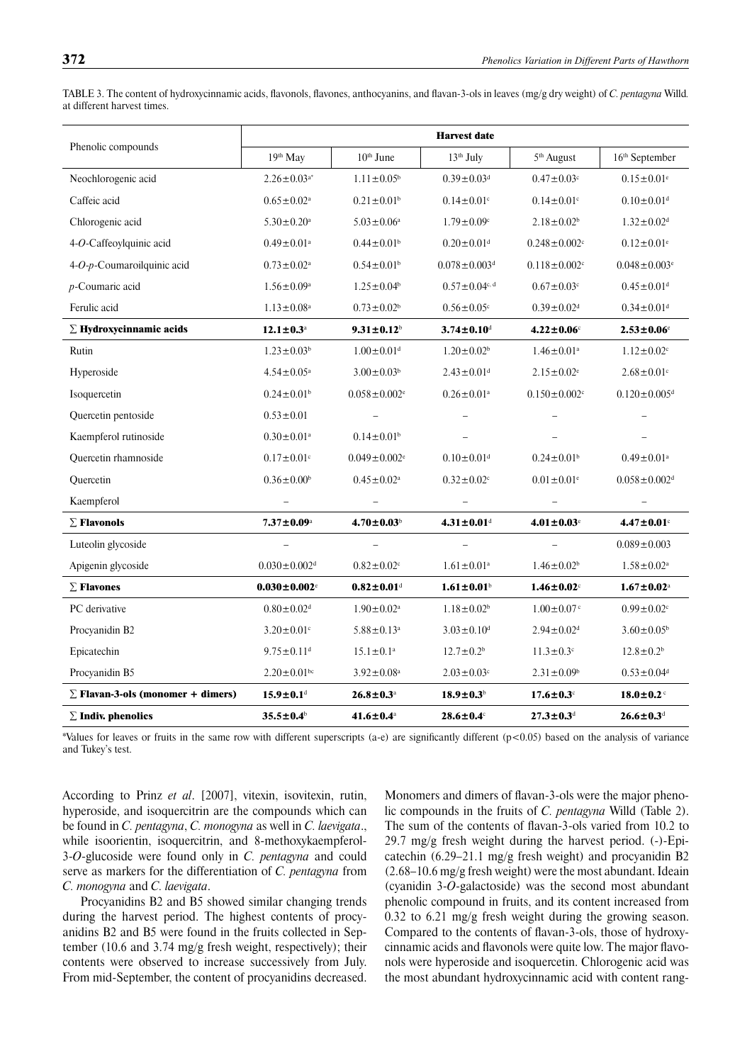| Phenolic compounds                       | <b>Harvest</b> date            |                                                         |                                                                  |                                |                                |  |  |  |  |
|------------------------------------------|--------------------------------|---------------------------------------------------------|------------------------------------------------------------------|--------------------------------|--------------------------------|--|--|--|--|
|                                          | 19th May                       | $10th$ June<br>13 <sup>th</sup> July                    |                                                                  | 5 <sup>th</sup> August         | 16th September                 |  |  |  |  |
| Neochlorogenic acid                      | $2.26 \pm 0.03^{a*}$           | $1.11 \pm 0.05^{\circ}$<br>$0.39 \pm 0.03$ <sup>d</sup> |                                                                  | $0.47 \pm 0.03$ <sup>c</sup>   | $0.15 \pm 0.01$ <sup>e</sup>   |  |  |  |  |
| Caffeic acid                             | $0.65 \pm 0.02$ <sup>a</sup>   | $0.21 \pm 0.01$ <sup>b</sup>                            | $0.14 \pm 0.01$ <sup>c</sup>                                     | $0.14 \pm 0.01$ <sup>c</sup>   | $0.10 \pm 0.01$ <sup>d</sup>   |  |  |  |  |
| Chlorogenic acid                         | $5.30 \pm 0.20$ <sup>a</sup>   | $5.03 \pm 0.06^a$                                       | $1.79 \pm 0.09$ <sup>c</sup>                                     | $2.18 \pm 0.02$ <sup>b</sup>   | $1.32 \pm 0.02$ <sup>d</sup>   |  |  |  |  |
| 4-O-Caffeoylquinic acid                  | $0.49 \pm 0.01$ <sup>a</sup>   | $0.44 \pm 0.01$ <sup>b</sup>                            | $0.20 \pm 0.01$ <sup>d</sup>                                     | $0.248 \pm 0.002$ <sup>c</sup> | $0.12 \pm 0.01$ <sup>e</sup>   |  |  |  |  |
| 4-O-p-Coumaroilquinic acid               | $0.73\pm0.02^{\rm a}$          | $0.54 \pm 0.01$ <sup>b</sup>                            | $0.078 \pm 0.003$ <sup>d</sup><br>$0.118 \pm 0.002$ <sup>c</sup> |                                | $0.048 \pm 0.003$ <sup>e</sup> |  |  |  |  |
| $p$ -Coumaric acid                       | $1.56 \pm 0.09^a$              | $1.25 \pm 0.04$ <sup>b</sup>                            | $0.57 \pm 0.04$ c, d                                             | $0.67 \pm 0.03$ <sup>c</sup>   | $0.45\pm0.01^{\rm d}$          |  |  |  |  |
| Ferulic acid                             | $1.13 \pm 0.08^a$              | $0.73 \pm 0.02^b$                                       | $0.56 \pm 0.05$ <sup>c</sup><br>$0.39 \pm 0.02$ <sup>d</sup>     |                                | $0.34 \pm 0.01$ <sup>d</sup>   |  |  |  |  |
| $\Sigma$ Hydroxycinnamic acids           | $12.1 \pm 0.3^{\text{a}}$      | $9.31 \pm 0.12^b$                                       | $3.74 \pm 0.10^{\rm d}$                                          | $4.22 \pm 0.06^{\circ}$        | $2.53 \pm 0.06$ <sup>e</sup>   |  |  |  |  |
| Rutin                                    | $1.23 \pm 0.03^b$              | $1.00\pm0.01^{\rm d}$                                   | $1.20 \pm 0.02$ <sup>b</sup>                                     | $1.46\pm0.01^{\rm a}$          | $1.12 \pm 0.02$ <sup>c</sup>   |  |  |  |  |
| Hyperoside                               | $4.54 \pm 0.05^{\text{a}}$     | $3.00 \pm 0.03^b$                                       | $2.43 \pm 0.01$ <sup>d</sup>                                     | $2.15 \pm 0.02$ <sup>e</sup>   | $2.68 \pm 0.01$ °              |  |  |  |  |
| Isoquercetin                             | $0.24 \pm 0.01$ <sup>b</sup>   | $0.058 \pm 0.002$ <sup>e</sup>                          | $0.26 \pm 0.01$ <sup>a</sup>                                     | $0.150 \pm 0.002$ <sup>c</sup> | $0.120 \pm 0.005$ <sup>d</sup> |  |  |  |  |
| Quercetin pentoside                      | $0.53 \pm 0.01$                |                                                         |                                                                  |                                |                                |  |  |  |  |
| Kaempferol rutinoside                    | $0.30 \pm 0.01$ <sup>a</sup>   | $0.14 \pm 0.01$ <sup>b</sup>                            |                                                                  |                                |                                |  |  |  |  |
| Quercetin rhamnoside                     | $0.17 \pm 0.01$ c              | $0.049 \pm 0.002$ <sup>e</sup>                          | $0.10 \pm 0.01$ <sup>d</sup>                                     | $0.24 \pm 0.01$ <sup>b</sup>   | $0.49 \pm 0.01$ <sup>a</sup>   |  |  |  |  |
| Quercetin                                | $0.36\pm0.00^{\rm b}$          | $0.45 \pm 0.02^a$                                       | $0.32 \pm 0.02$ <sup>c</sup>                                     | $0.01 \pm 0.01$ <sup>e</sup>   | $0.058 \pm 0.002$ <sup>d</sup> |  |  |  |  |
| Kaempferol                               |                                |                                                         |                                                                  |                                |                                |  |  |  |  |
| $\Sigma$ Flavonols                       | $7.37 \pm 0.09^{\rm a}$        | $4.70 \pm 0.03^b$                                       | $4.31 \pm 0.01$ <sup>d</sup>                                     | $4.01 \pm 0.03$ <sup>e</sup>   | $4.47 \pm 0.01$ <sup>c</sup>   |  |  |  |  |
| Luteolin glycoside                       |                                |                                                         |                                                                  |                                | $0.089 \pm 0.003$              |  |  |  |  |
| Apigenin glycoside                       | $0.030 \pm 0.002$ <sup>d</sup> | $0.82 \pm 0.02$ <sup>c</sup>                            | $1.61 \pm 0.01^a$                                                | $1.46 \pm 0.02^b$              | $1.58 \pm 0.02$ <sup>a</sup>   |  |  |  |  |
| $\Sigma$ Flavones                        | $0.030 \pm 0.002$ <sup>c</sup> | $0.82 \pm 0.01$ <sup>d</sup>                            | $1.61 \pm 0.01^b$                                                | $1.46 \pm 0.02$                | $1.67 \pm 0.02^{\text{a}}$     |  |  |  |  |
| PC derivative                            | $0.80 \pm 0.02$ <sup>d</sup>   | $1.90 \pm 0.02^a$                                       | $1.18 \pm 0.02^b$                                                | $1.00 \pm 0.07$ <sup>c</sup>   |                                |  |  |  |  |
| Procyanidin B2                           | $3.20 \pm 0.01$ °              | $5.88 \pm 0.13$ <sup>a</sup>                            | $3.03 \pm 0.10$ <sup>d</sup>                                     | $2.94 \pm 0.02$ <sup>d</sup>   | $3.60 \pm 0.05^b$              |  |  |  |  |
| Epicatechin                              | $9.75 \pm 0.11$ <sup>d</sup>   | $15.1 \pm 0.1^a$                                        | $12.7 \pm 0.2^b$                                                 | $11.3 \pm 0.3$ °               | $12.8 \pm 0.2^b$               |  |  |  |  |
| Procyanidin B5                           | $2.20 \pm 0.01$ <sup>bc</sup>  | $3.92 \pm 0.08^{\text{a}}$                              | $2.03 \pm 0.03$ c                                                | $2.31 \pm 0.09$ <sup>b</sup>   | $0.53 \pm 0.04$ <sup>d</sup>   |  |  |  |  |
| $\Sigma$ Flavan-3-ols (monomer + dimers) | $15.9 \pm 0.1$ <sup>d</sup>    | $26.8 \pm 0.3^{\text{a}}$                               | $18.9 \pm 0.3^b$                                                 | $17.6 \pm 0.3$                 | $18.0 \pm 0.2$                 |  |  |  |  |
| $\Sigma$ Indiv. phenolics                | $35.5 \pm 0.4^{\circ}$         | $41.6 \pm 0.4^{\text{a}}$                               | $28.6 \pm 0.4$                                                   | $27.3 \pm 0.3$ d               | $26.6 \pm 0.3$ d               |  |  |  |  |

TABLE 3. The content of hydroxycinnamic acids, flavonols, flavones, anthocyanins, and flavan-3-ols in leaves (mg/g dry weight) of *C. pentagyna* Willd. at different harvest times.

\*Values for leaves or fruits in the same row with different superscripts (a-e) are significantly different  $(p<0.05)$  based on the analysis of variance and Tukey's test.

According to Prinz *et al*. [2007], vitexin, isovitexin, rutin, hyperoside, and isoquercitrin are the compounds which can be found in *C. pentagyna*, *C. monogyna* as well in *C. laevigata*., while isoorientin, isoquercitrin, and 8-methoxykaempferol-3-*O*-glucoside were found only in *C. pentagyna* and could serve as markers for the differentiation of *C. pentagyna* from *C. monogyna* and *C. laevigata*.

Procyanidins B2 and B5 showed similar changing trends during the harvest period. The highest contents of procyanidins B2 and B5 were found in the fruits collected in September (10.6 and 3.74 mg/g fresh weight, respectively); their contents were observed to increase successively from July. From mid-September, the content of procyanidins decreased.

Monomers and dimers of flavan-3-ols were the major phenolic compounds in the fruits of *C. pentagyna* Willd (Table 2). The sum of the contents of flavan-3-ols varied from 10.2 to 29.7 mg/g fresh weight during the harvest period. (-)-Epicatechin (6.29–21.1 mg/g fresh weight) and procyanidin B2 (2.68–10.6 mg/g fresh weight) were the most abundant. Ideain (cyanidin 3-*O*-galactoside) was the second most abundant phenolic compound in fruits, and its content increased from 0.32 to 6.21 mg/g fresh weight during the growing season. Compared to the contents of flavan-3-ols, those of hydroxycinnamic acids and flavonols were quite low. The major flavonols were hyperoside and isoquercetin. Chlorogenic acid was the most abundant hydroxycinnamic acid with content rang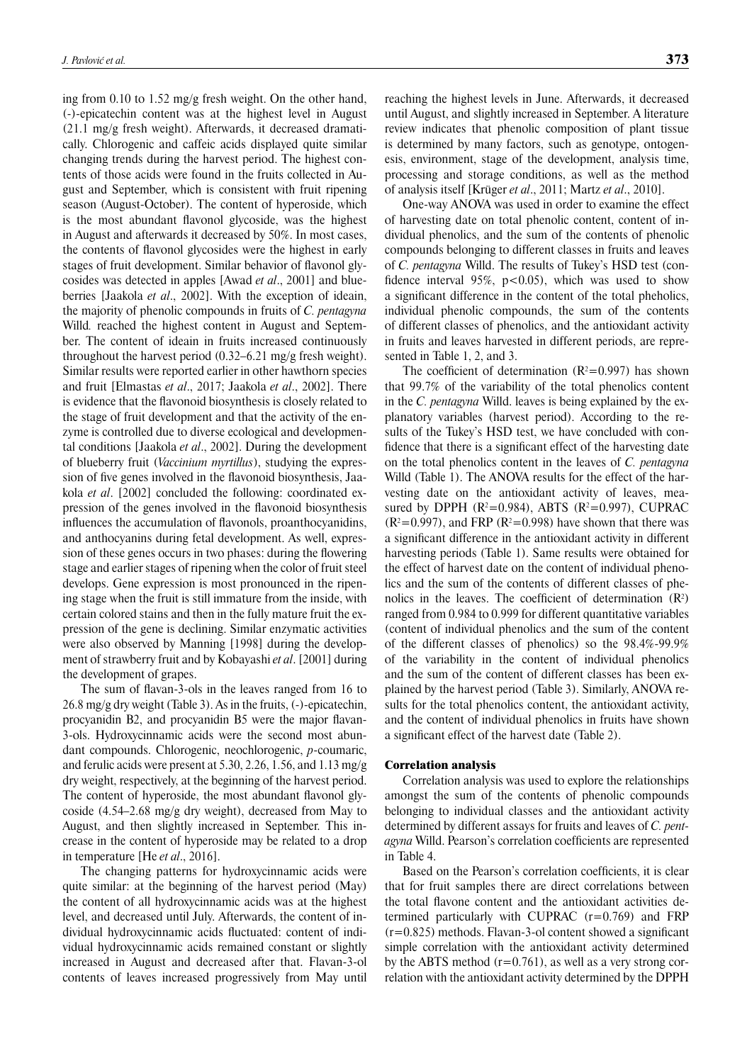ing from 0.10 to 1.52 mg/g fresh weight. On the other hand, (-)-epicatechin content was at the highest level in August (21.1 mg/g fresh weight). Afterwards, it decreased dramatically. Chlorogenic and caffeic acids displayed quite similar changing trends during the harvest period. The highest contents of those acids were found in the fruits collected in August and September, which is consistent with fruit ripening season (August-October). The content of hyperoside, which is the most abundant flavonol glycoside, was the highest in August and afterwards it decreased by 50%. In most cases, the contents of flavonol glycosides were the highest in early stages of fruit development. Similar behavior of flavonol glycosides was detected in apples [Awad *et al*., 2001] and blueberries [Jaakola *et al*., 2002]. With the exception of ideain, the majority of phenolic compounds in fruits of *C. pentagyna*  Willd*.* reached the highest content in August and September. The content of ideain in fruits increased continuously throughout the harvest period (0.32–6.21 mg/g fresh weight). Similar results were reported earlier in other hawthorn species and fruit [Elmastas *et al*., 2017; Jaakola *et al*., 2002]. There is evidence that the flavonoid biosynthesis is closely related to the stage of fruit development and that the activity of the enzyme is controlled due to diverse ecological and developmental conditions [Jaakola *et al*., 2002]. During the development of blueberry fruit (*Vaccinium myrtillus*), studying the expression of five genes involved in the flavonoid biosynthesis, Jaakola *et al*. [2002] concluded the following: coordinated expression of the genes involved in the flavonoid biosynthesis influences the accumulation of flavonols, proanthocyanidins, and anthocyanins during fetal development. As well, expression of these genes occurs in two phases: during the flowering stage and earlier stages of ripening when the color of fruit steel develops. Gene expression is most pronounced in the ripening stage when the fruit is still immature from the inside, with certain colored stains and then in the fully mature fruit the expression of the gene is declining. Similar enzymatic activities were also observed by Manning [1998] during the development of strawberry fruit and by Kobayashi *et al*. [2001] during the development of grapes.

The sum of flavan-3-ols in the leaves ranged from 16 to 26.8 mg/g dry weight (Table 3). As in the fruits, (-)-epicatechin, procyanidin B2, and procyanidin B5 were the major flavan-3-ols. Hydroxycinnamic acids were the second most abundant compounds. Chlorogenic, neochlorogenic, *p*-coumaric, and ferulic acids were present at 5.30, 2.26, 1.56, and 1.13 mg/g dry weight, respectively, at the beginning of the harvest period. The content of hyperoside, the most abundant flavonol glycoside (4.54–2.68 mg/g dry weight), decreased from May to August, and then slightly increased in September. This increase in the content of hyperoside may be related to a drop in temperature [He *et al*., 2016].

The changing patterns for hydroxycinnamic acids were quite similar: at the beginning of the harvest period (May) the content of all hydroxycinnamic acids was at the highest level, and decreased until July. Afterwards, the content of individual hydroxycinnamic acids fluctuated: content of individual hydroxycinnamic acids remained constant or slightly increased in August and decreased after that. Flavan-3-ol contents of leaves increased progressively from May until reaching the highest levels in June. Afterwards, it decreased until August, and slightly increased in September. A literature review indicates that phenolic composition of plant tissue is determined by many factors, such as genotype, ontogenesis, environment, stage of the development, analysis time, processing and storage conditions, as well as the method of analysis itself [Krüger *et al*., 2011; Martz *et al*., 2010].

One-way ANOVA was used in order to examine the effect of harvesting date on total phenolic content, content of individual phenolics, and the sum of the contents of phenolic compounds belonging to different classes in fruits and leaves of *C. pentagyna* Willd. The results of Tukey's HSD test (confidence interval 95%,  $p<0.05$ ), which was used to show a significant difference in the content of the total pheholics, individual phenolic compounds, the sum of the contents of different classes of phenolics, and the antioxidant activity in fruits and leaves harvested in different periods, are represented in Table 1, 2, and 3.

The coefficient of determination  $(R^2=0.997)$  has shown that 99.7% of the variability of the total phenolics content in the *C. pentagyna* Willd. leaves is being explained by the explanatory variables (harvest period). According to the results of the Tukey's HSD test, we have concluded with confidence that there is a significant effect of the harvesting date on the total phenolics content in the leaves of *C. pentagyna*  Willd (Table 1). The ANOVA results for the effect of the harvesting date on the antioxidant activity of leaves, measured by DPPH  $(R^2=0.984)$ , ABTS  $(R^2=0.997)$ , CUPRAC  $(R<sup>2</sup>=0.997)$ , and FRP  $(R<sup>2</sup>=0.998)$  have shown that there was a significant difference in the antioxidant activity in different harvesting periods (Table 1). Same results were obtained for the effect of harvest date on the content of individual phenolics and the sum of the contents of different classes of phenolics in the leaves. The coefficient of determination  $(R^2)$ ranged from 0.984 to 0.999 for different quantitative variables (content of individual phenolics and the sum of the content of the different classes of phenolics) so the 98.4%-99.9% of the variability in the content of individual phenolics and the sum of the content of different classes has been explained by the harvest period (Table 3). Similarly, ANOVA results for the total phenolics content, the antioxidant activity, and the content of individual phenolics in fruits have shown a significant effect of the harvest date (Table 2).

#### Correlation analysis

Correlation analysis was used to explore the relationships amongst the sum of the contents of phenolic compounds belonging to individual classes and the antioxidant activity determined by different assays for fruits and leaves of *C. pentagyna* Willd. Pearson's correlation coefficients are represented in Table 4.

Based on the Pearson's correlation coefficients, it is clear that for fruit samples there are direct correlations between the total flavone content and the antioxidant activities determined particularly with CUPRAC  $(r=0.769)$  and FRP  $(r=0.825)$  methods. Flavan-3-ol content showed a significant simple correlation with the antioxidant activity determined by the ABTS method  $(r=0.761)$ , as well as a very strong correlation with the antioxidant activity determined by the DPPH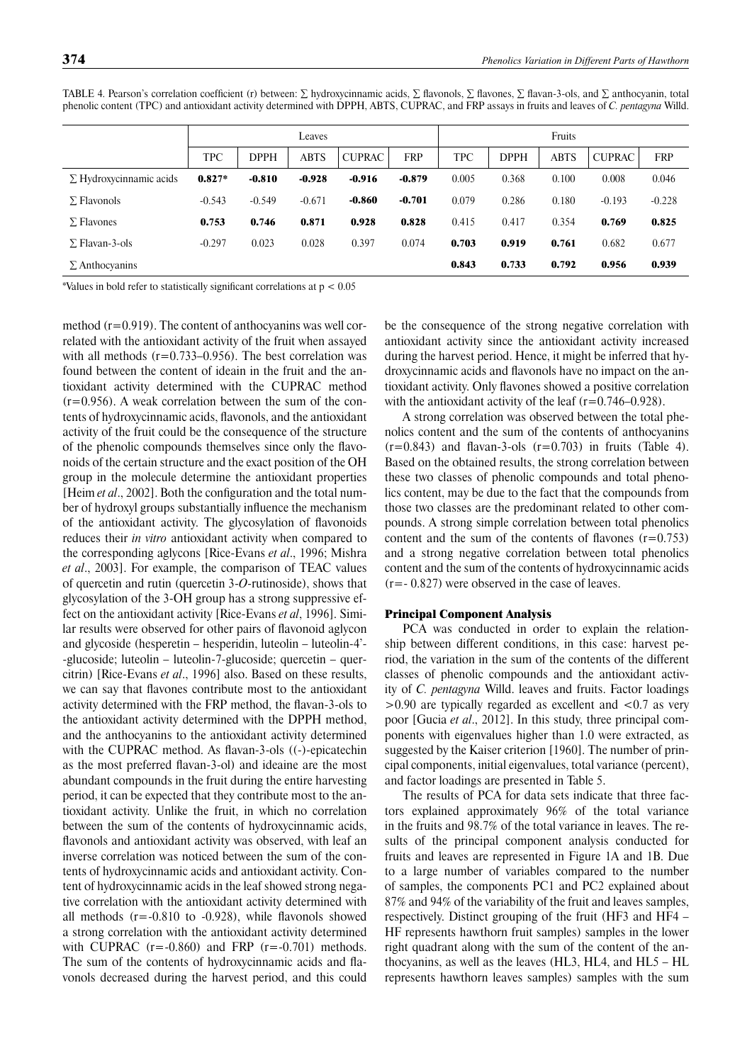|                                | Leaves   |          |          |               | Fruits     |       |             |             |               |            |
|--------------------------------|----------|----------|----------|---------------|------------|-------|-------------|-------------|---------------|------------|
|                                | TPC      | DPPH     | ABTS     | <b>CUPRAC</b> | <b>FRP</b> | TPC   | <b>DPPH</b> | <b>ABTS</b> | <b>CUPRAC</b> | <b>FRP</b> |
| $\Sigma$ Hydroxycinnamic acids | $0.827*$ | $-0.810$ | $-0.928$ | $-0.916$      | $-0.879$   | 0.005 | 0.368       | 0.100       | 0.008         | 0.046      |
| $\Sigma$ Flavonols             | $-0.543$ | $-0.549$ | $-0.671$ | $-0.860$      | $-0.701$   | 0.079 | 0.286       | 0.180       | $-0.193$      | $-0.228$   |
| $\Sigma$ Flavones              | 0.753    | 0.746    | 0.871    | 0.928         | 0.828      | 0.415 | 0.417       | 0.354       | 0.769         | 0.825      |
| $\Sigma$ Flavan-3-ols          | $-0.297$ | 0.023    | 0.028    | 0.397         | 0.074      | 0.703 | 0.919       | 0.761       | 0.682         | 0.677      |
| $\Sigma$ Anthocyanins          |          |          |          |               |            | 0.843 | 0.733       | 0.792       | 0.956         | 0.939      |

TABLE 4. Pearson's correlation coefficient (r) between:  $\Sigma$  hydroxycinnamic acids,  $\Sigma$  flavonols,  $\Sigma$  flavones,  $\Sigma$  flavan-3-ols, and  $\Sigma$  anthocyanin, total phenolic content (TPC) and antioxidant activity determined with DPPH, ABTS, CUPRAC, and FRP assays in fruits and leaves of *C. pentagyna* Willd.

\*Values in bold refer to statistically significant correlations at  $p < 0.05$ 

method (r=0.919). The content of anthocyanins was well correlated with the antioxidant activity of the fruit when assayed with all methods  $(r=0.733-0.956)$ . The best correlation was found between the content of ideain in the fruit and the antioxidant activity determined with the CUPRAC method  $(r=0.956)$ . A weak correlation between the sum of the contents of hydroxycinnamic acids, flavonols, and the antioxidant activity of the fruit could be the consequence of the structure of the phenolic compounds themselves since only the flavonoids of the certain structure and the exact position of the OH group in the molecule determine the antioxidant properties [Heim *et al.*, 2002]. Both the configuration and the total number of hydroxyl groups substantially influence the mechanism of the antioxidant activity. The glycosylation of flavonoids reduces their *in vitro* antioxidant activity when compared to the corresponding aglycons [Rice-Evans *et al*., 1996; Mishra *et al*., 2003]. For example, the comparison of TEAC values of quercetin and rutin (quercetin 3-*O*-rutinoside), shows that glycosylation of the 3-OH group has a strong suppressive effect on the antioxidant activity [Rice-Evans *et al*, 1996]. Similar results were observed for other pairs of flavonoid aglycon and glycoside (hesperetin – hesperidin, luteolin – luteolin-4'- -glucoside; luteolin – luteolin-7-glucoside; quercetin – quercitrin) [Rice-Evans *et al*., 1996] also. Based on these results, we can say that flavones contribute most to the antioxidant activity determined with the FRP method, the flavan-3-ols to the antioxidant activity determined with the DPPH method, and the anthocyanins to the antioxidant activity determined with the CUPRAC method. As flavan-3-ols ((-)-epicatechin as the most preferred flavan-3-ol) and ideaine are the most abundant compounds in the fruit during the entire harvesting period, it can be expected that they contribute most to the antioxidant activity. Unlike the fruit, in which no correlation between the sum of the contents of hydroxycinnamic acids, flavonols and antioxidant activity was observed, with leaf an inverse correlation was noticed between the sum of the contents of hydroxycinnamic acids and antioxidant activity. Content of hydroxycinnamic acids in the leaf showed strong negative correlation with the antioxidant activity determined with all methods  $(r = -0.810$  to  $-0.928)$ , while flavonols showed a strong correlation with the antioxidant activity determined with CUPRAC  $(r=-0.860)$  and FRP  $(r=-0.701)$  methods. The sum of the contents of hydroxycinnamic acids and flavonols decreased during the harvest period, and this could be the consequence of the strong negative correlation with antioxidant activity since the antioxidant activity increased during the harvest period. Hence, it might be inferred that hydroxycinnamic acids and flavonols have no impact on the antioxidant activity. Only flavones showed a positive correlation with the antioxidant activity of the leaf  $(r=0.746-0.928)$ .

A strong correlation was observed between the total phenolics content and the sum of the contents of anthocyanins  $(r=0.843)$  and flavan-3-ols  $(r=0.703)$  in fruits (Table 4). Based on the obtained results, the strong correlation between these two classes of phenolic compounds and total phenolics content, may be due to the fact that the compounds from those two classes are the predominant related to other compounds. A strong simple correlation between total phenolics content and the sum of the contents of flavones  $(r=0.753)$ and a strong negative correlation between total phenolics content and the sum of the contents of hydroxycinnamic acids (r=- 0.827) were observed in the case of leaves.

#### Principal Component Analysis

PCA was conducted in order to explain the relationship between different conditions, in this case: harvest period, the variation in the sum of the contents of the different classes of phenolic compounds and the antioxidant activity of *C. pentagyna* Willd. leaves and fruits. Factor loadings  $>0.90$  are typically regarded as excellent and  $< 0.7$  as very poor [Gucia *et al*., 2012]. In this study, three principal components with eigenvalues higher than 1.0 were extracted, as suggested by the Kaiser criterion [1960]. The number of principal components, initial eigenvalues, total variance (percent), and factor loadings are presented in Table 5.

The results of PCA for data sets indicate that three factors explained approximately 96% of the total variance in the fruits and 98.7% of the total variance in leaves. The results of the principal component analysis conducted for fruits and leaves are represented in Figure 1A and 1B. Due to a large number of variables compared to the number of samples, the components PC1 and PC2 explained about 87% and 94% of the variability of the fruit and leaves samples, respectively. Distinct grouping of the fruit (HF3 and HF4 – HF represents hawthorn fruit samples) samples in the lower right quadrant along with the sum of the content of the anthocyanins, as well as the leaves (HL3, HL4, and HL5 – HL represents hawthorn leaves samples) samples with the sum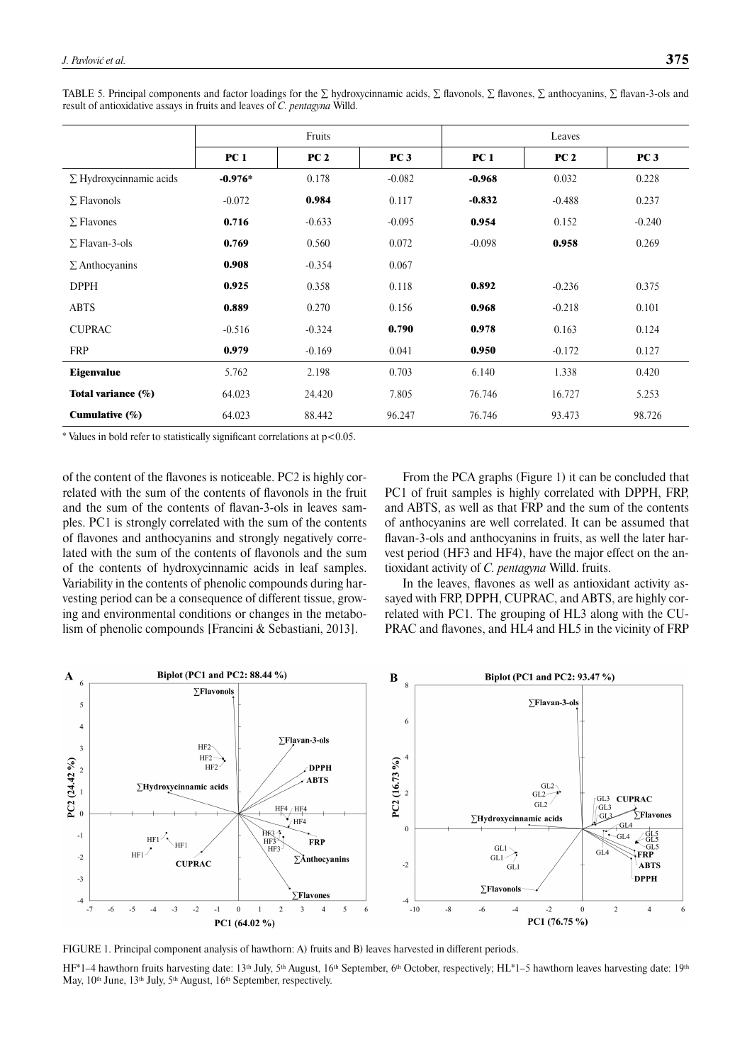|                                | Fruits      |                 |                 | Leaves          |             |                 |  |
|--------------------------------|-------------|-----------------|-----------------|-----------------|-------------|-----------------|--|
|                                | <b>PC</b> 1 | PC <sub>2</sub> | PC <sub>3</sub> | PC <sub>1</sub> | <b>PC 2</b> | PC <sub>3</sub> |  |
| $\Sigma$ Hydroxycinnamic acids | $-0.976*$   | 0.178           | $-0.082$        | $-0.968$        | 0.032       | 0.228           |  |
| $\Sigma$ Flavonols             | $-0.072$    | 0.984           | 0.117           | $-0.832$        | $-0.488$    | 0.237           |  |
| $\Sigma$ Flavones              | 0.716       | $-0.633$        | $-0.095$        | 0.954           | 0.152       | $-0.240$        |  |
| $\Sigma$ Flavan-3-ols          | 0.769       | 0.560           | 0.072           | $-0.098$        | 0.958       | 0.269           |  |
| $\Sigma$ Anthocyanins          | 0.908       | $-0.354$        | 0.067           |                 |             |                 |  |
| <b>DPPH</b>                    | 0.925       | 0.358           | 0.118           | 0.892           | $-0.236$    | 0.375           |  |
| <b>ABTS</b>                    | 0.889       | 0.270           | 0.156           | 0.968           | $-0.218$    | 0.101           |  |
| <b>CUPRAC</b>                  | $-0.516$    | $-0.324$        | 0.790           | 0.978           | 0.163       | 0.124           |  |
| <b>FRP</b>                     | 0.979       | $-0.169$        | 0.041           | 0.950           | $-0.172$    | 0.127           |  |
| <b>Eigenvalue</b>              | 5.762       | 2.198           | 0.703           | 6.140           | 1.338       | 0.420           |  |
| Total variance (%)             | 64.023      | 24.420          | 7.805           | 76.746          | 16.727      | 5.253           |  |
| Cumulative (%)                 | 64.023      | 88.442          | 96.247          | 76.746          | 93.473      | 98.726          |  |

TABLE 5. Principal components and factor loadings for the  $\Sigma$  hydroxycinnamic acids,  $\Sigma$  flavonols,  $\Sigma$  flavones,  $\Sigma$  anthocyanins,  $\Sigma$  flavan-3-ols and result of antioxidative assays in fruits and leaves of *C. pentagyna* Willd.

 $*$  Values in bold refer to statistically significant correlations at  $p<0.05$ .

of the content of the flavones is noticeable. PC2 is highly correlated with the sum of the contents of flavonols in the fruit and the sum of the contents of flavan-3-ols in leaves samples. PC1 is strongly correlated with the sum of the contents of flavones and anthocyanins and strongly negatively correlated with the sum of the contents of flavonols and the sum of the contents of hydroxycinnamic acids in leaf samples. Variability in the contents of phenolic compounds during harvesting period can be a consequence of different tissue, growing and environmental conditions or changes in the metabolism of phenolic compounds [Francini & Sebastiani, 2013].

From the PCA graphs (Figure 1) it can be concluded that PC1 of fruit samples is highly correlated with DPPH, FRP, and ABTS, as well as that FRP and the sum of the contents of anthocyanins are well correlated. It can be assumed that flavan-3-ols and anthocyanins in fruits, as well the later harvest period (HF3 and HF4), have the major effect on the antioxidant activity of *C. pentagyna* Willd. fruits.

In the leaves, flavones as well as antioxidant activity assayed with FRP, DPPH, CUPRAC, and ABTS, are highly correlated with PC1. The grouping of HL3 along with the CU-PRAC and flavones, and HL4 and HL5 in the vicinity of FRP



FIGURE 1. Principal component analysis of hawthorn: A) fruits and B) leaves harvested in different periods.

 $HF^*1-4$  hawthorn fruits harvesting date: 13<sup>th</sup> July, 5<sup>th</sup> August, 16<sup>th</sup> September, 6<sup>th</sup> October, respectively; HL\*1–5 hawthorn leaves harvesting date: 19<sup>th</sup> May, 10<sup>th</sup> June, 13<sup>th</sup> July, 5<sup>th</sup> August, 16<sup>th</sup> September, respectively.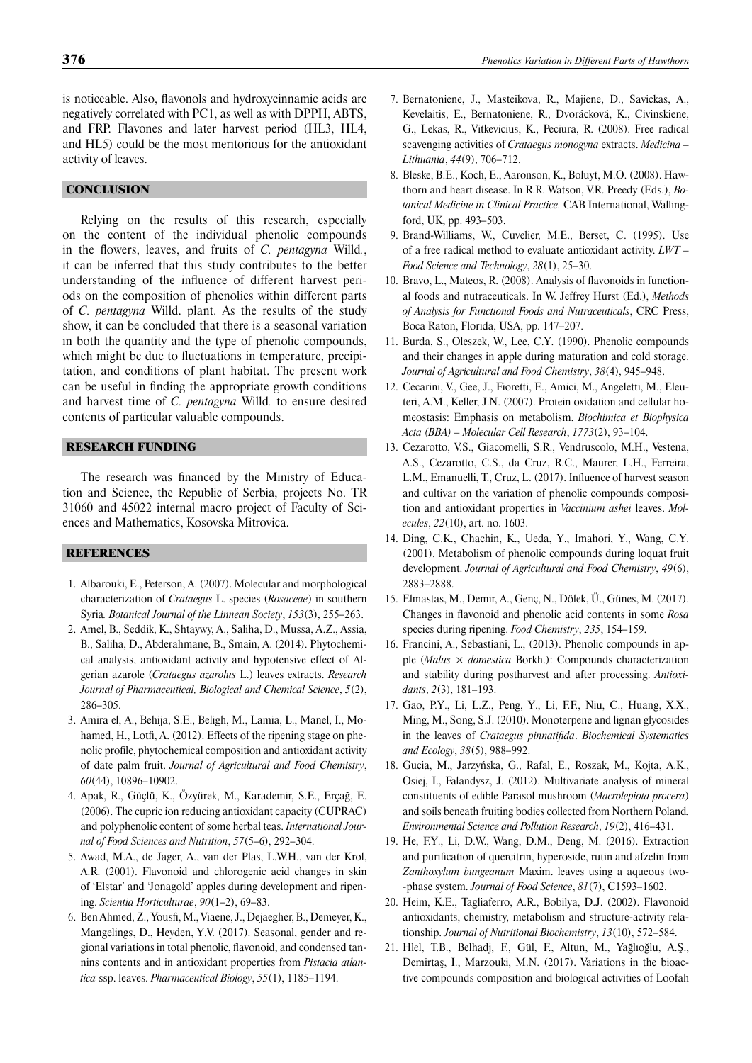is noticeable. Also, flavonols and hydroxycinnamic acids are negatively correlated with PC1, as well as with DPPH, ABTS, and FRP. Flavones and later harvest period (HL3, HL4, and HL5) could be the most meritorious for the antioxidant activity of leaves.

# **CONCLUSION**

Relying on the results of this research, especially on the content of the individual phenolic compounds in the flowers, leaves, and fruits of *C. pentagyna* Willd., it can be inferred that this study contributes to the better understanding of the influence of different harvest periods on the composition of phenolics within different parts of *C. pentagyna* Willd. plant. As the results of the study show, it can be concluded that there is a seasonal variation in both the quantity and the type of phenolic compounds, which might be due to fluctuations in temperature, precipitation, and conditions of plant habitat. The present work can be useful in finding the appropriate growth conditions and harvest time of *C. pentagyna* Willd*.* to ensure desired contents of particular valuable compounds.

# RESEARCH FUNDING

The research was financed by the Ministry of Education and Science, the Republic of Serbia, projects No. TR 31060 and 45022 internal macro project of Faculty of Sciences and Mathematics, Kosovska Mitrovica.

# **REFERENCES**

- 1. Albarouki, E., Peterson, A. (2007). Molecular and morphological characterization of *Crataegus* L. species (*Rosaceae*) in southern Syria*. Botanical Journal of the Linnean Society*, *153*(3), 255–263.
- 2. Amel, B., Seddik, K., Shtaywy, A., Saliha, D., Mussa, A.Z., Assia, B., Saliha, D., Abderahmane, B., Smain, A. (2014). Phytochemical analysis, antioxidant activity and hypotensive effect of Algerian azarole (*Crataegus azarolus* L.) leaves extracts. *Research Journal of Pharmaceutical, Biological and Chemical Science*, *5*(2), 286–305.
- 3. Amira el, A., Behija, S.E., Beligh, M., Lamia, L., Manel, I., Mohamed, H., Lotfi, A. (2012). Effects of the ripening stage on phenolic profile, phytochemical composition and antioxidant activity of date palm fruit. *Journal of Agricultural and Food Chemistry*, *60*(44), 10896–10902.
- 4. Apak, R., Güçlü, K., Özyürek, M., Karademir, S.E., Erçağ, E. (2006). The cupric ion reducing antioxidant capacity (CUPRAC) and polyphenolic content of some herbal teas. *International Journal of Food Sciences and Nutrition*, *57*(5–6), 292–304.
- 5. Awad, M.A., de Jager, A., van der Plas, L.W.H., van der Krol, A.R. (2001). Flavonoid and chlorogenic acid changes in skin of 'Elstar' and 'Jonagold' apples during development and ripening. *Scientia Horticulturae*, *90*(1–2), 69–83.
- 6. Ben Ahmed, Z., Yousfi, M., Viaene, J., Dejaegher, B., Demeyer, K., Mangelings, D., Heyden, Y.V. (2017). Seasonal, gender and regional variations in total phenolic, flavonoid, and condensed tannins contents and in antioxidant properties from *Pistacia atlantica* ssp. leaves. *Pharmaceutical Biology*, *55*(1), 1185–1194.
- 7. Bernatoniene, J., Masteikova, R., Majiene, D., Savickas, A., Kevelaitis, E., Bernatoniene, R., Dvorácková, K., Civinskiene, G., Lekas, R., Vitkevicius, K., Peciura, R. (2008). Free radical scavenging activities of *Crataegus monogyna* extracts. *Medicina – Lithuania*, *44*(9), 706–712.
- 8. Bleske, B.E., Koch, E., Aaronson, K., Boluyt, M.O. (2008). Hawthorn and heart disease. In R.R. Watson, V.R. Preedy (Eds.), *Botanical Medicine in Clinical Practice.* CAB International, Wallingford, UK, pp. 493–503.
- 9. Brand-Williams, W., Cuvelier, M.E., Berset, C. (1995). Use of a free radical method to evaluate antioxidant activity. *LWT – Food Science and Technology*, *28*(1), 25–30.
- 10. Bravo, L., Mateos, R. (2008). Analysis of flavonoids in functional foods and nutraceuticals. In W. Jeffrey Hurst (Ed.), *Methods of Analysis for Functional Foods and Nutraceuticals*, CRC Press, Boca Raton, Florida, USA, pp. 147–207.
- 11. Burda, S., Oleszek, W., Lee, C.Y. (1990). Phenolic compounds and their changes in apple during maturation and cold storage. *Journal of Agricultural and Food Chemistry*, *38*(4), 945–948.
- 12. Cecarini, V., Gee, J., Fioretti, E., Amici, M., Angeletti, M., Eleuteri, A.M., Keller, J.N. (2007). Protein oxidation and cellular homeostasis: Emphasis on metabolism. *Biochimica et Biophysica Acta (BBA) – Molecular Cell Research*, *1773*(2), 93–104.
- 13. Cezarotto, V.S., Giacomelli, S.R., Vendruscolo, M.H., Vestena, A.S., Cezarotto, C.S., da Cruz, R.C., Maurer, L.H., Ferreira, L.M., Emanuelli, T., Cruz, L. (2017). Influence of harvest season and cultivar on the variation of phenolic compounds composition and antioxidant properties in *Vaccinium ashei* leaves. *Molecules*, *22*(10), art. no. 1603.
- 14. Ding, C.K., Chachin, K., Ueda, Y., Imahori, Y., Wang, C.Y. (2001). Metabolism of phenolic compounds during loquat fruit development. *Journal of Agricultural and Food Chemistry*, *49*(6), 2883–2888.
- 15. Elmastas, M., Demir, A., Genç, N., Dölek, Ü., Günes, M. (2017). Changes in flavonoid and phenolic acid contents in some *Rosa* species during ripening. *Food Chemistry*, *235*, 154–159.
- 16. Francini, A., Sebastiani, L., (2013). Phenolic compounds in apple (*Malus* × *domestica* Borkh.): Compounds characterization and stability during postharvest and after processing. *Antioxidants*, *2*(3), 181–193.
- 17. Gao, P.Y., Li, L.Z., Peng, Y., Li, F.F., Niu, C., Huang, X.X., Ming, M., Song, S.J. (2010). Monoterpene and lignan glycosides in the leaves of *Crataegus pinnatifida*. *Biochemical Systematics and Ecology*, *38*(5), 988–992.
- 18. Gucia, M., Jarzyńska, G., Rafal, E., Roszak, M., Kojta, A.K., Osiej, I., Falandysz, J. (2012). Multivariate analysis of mineral constituents of edible Parasol mushroom (*Macrolepiota procera*) and soils beneath fruiting bodies collected from Northern Poland*. Environmental Science and Pollution Research*, *19*(2), 416–431.
- 19. He, F.Y., Li, D.W., Wang, D.M., Deng, M. (2016). Extraction and purification of quercitrin, hyperoside, rutin and afzelin from *Zanthoxylum bungeanum* Maxim. leaves using a aqueous two- -phase system. *Journal of Food Science*, *81*(7), C1593–1602.
- 20. Heim, K.E., Tagliaferro, A.R., Bobilya, D.J. (2002). Flavonoid antioxidants, chemistry, metabolism and structure-activity relationship. *Journal of Nutritional Biochemistry*, *13*(10), 572–584.
- 21. Hlel, T.B., Belhadj, F., Gül, F., Altun, M., Yağlıoğlu, A.Ş., Demirtaş, I., Marzouki, M.N. (2017). Variations in the bioactive compounds composition and biological activities of Loofah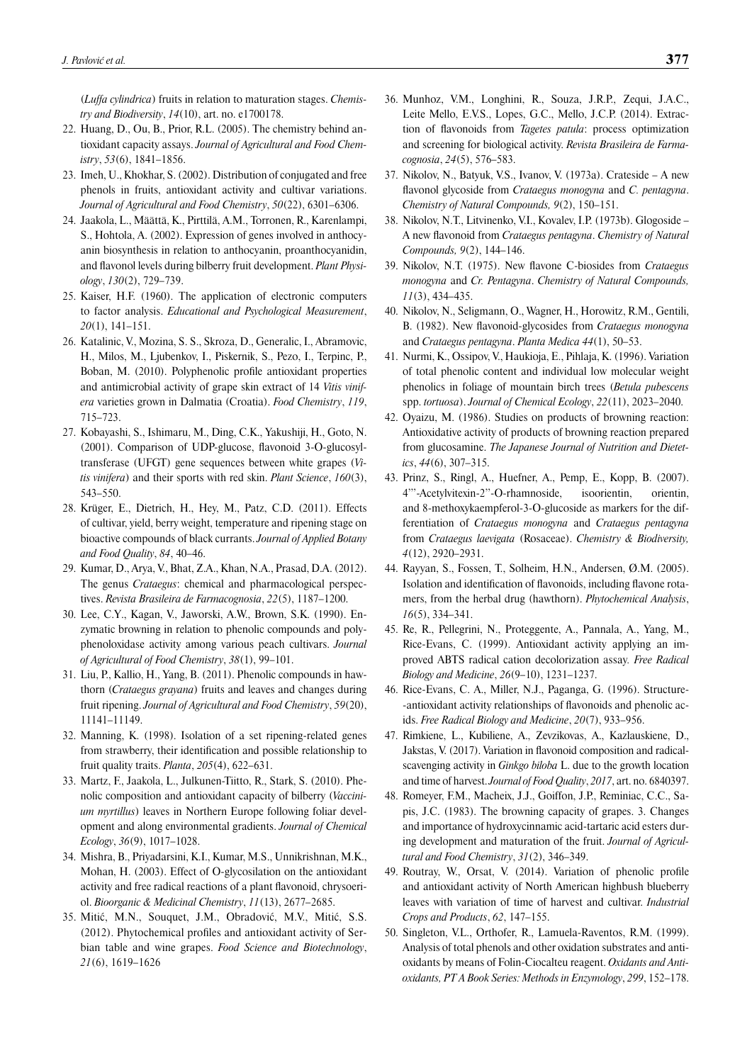(*Luffa cylindrica*) fruits in relation to maturation stages. *Chemistry and Biodiversity*, *14*(10), art. no. e1700178.

- 22. Huang, D., Ou, B., Prior, R.L. (2005). The chemistry behind antioxidant capacity assays. *Journal of Agricultural and Food Chemistry*, *53*(6), 1841–1856.
- 23. Imeh, U., Khokhar, S. (2002). Distribution of conjugated and free phenols in fruits, antioxidant activity and cultivar variations. *Journal of Agricultural and Food Chemistry*, *50*(22), 6301–6306.
- 24. Jaakola, L., Määttä, K., Pirttilä, A.M., Torronen, R., Karenlampi, S., Hohtola, A. (2002). Expression of genes involved in anthocyanin biosynthesis in relation to anthocyanin, proanthocyanidin, and flavonol levels during bilberry fruit development. Plant Physi*ology*, *130*(2), 729–739.
- 25. Kaiser, H.F. (1960). The application of electronic computers to factor analysis. *Educational and Psychological Measurement*, *20*(1), 141–151.
- 26. Katalinic, V., Mozina, S. S., Skroza, D., Generalic, I., Abramovic, H., Milos, M., Ljubenkov, I., Piskernik, S., Pezo, I., Terpinc, P., Boban, M. (2010). Polyphenolic profile antioxidant properties and antimicrobial activity of grape skin extract of 14 *Vitis vinifera* varieties grown in Dalmatia (Croatia). *Food Chemistry*, *119*, 715–723.
- 27. Kobayashi, S., Ishimaru, M., Ding, C.K., Yakushiji, H., Goto, N. (2001). Comparison of UDP-glucose, flavonoid 3-O-glucosyltransferase (UFGT) gene sequences between white grapes (*Vitis vinifera*) and their sports with red skin. *Plant Science*, *160*(3), 543–550.
- 28. Krüger, E., Dietrich, H., Hey, M., Patz, C.D. (2011). Effects of cultivar, yield, berry weight, temperature and ripening stage on bioactive compounds of black currants. *Journal of Applied Botany and Food Quality*, *84*, 40–46.
- 29. Kumar, D., Arya, V., Bhat, Z.A., Khan, N.A., Prasad, D.A. (2012). The genus *Crataegus*: chemical and pharmacological perspectives. *Revista Brasileira de Farmacognosia*, *22*(5), 1187–1200.
- 30. Lee, C.Y., Kagan, V., Jaworski, A.W., Brown, S.K. (1990). Enzymatic browning in relation to phenolic compounds and polyphenoloxidase activity among various peach cultivars. *Journal of Agricultural of Food Chemistry*, *38*(1), 99–101.
- 31. Liu, P., Kallio, H., Yang, B. (2011). Phenolic compounds in hawthorn (*Crataegus grayana*) fruits and leaves and changes during fruit ripening. *Journal of Agricultural and Food Chemistry*, *59*(20), 11141–11149.
- 32. Manning, K. (1998). Isolation of a set ripening-related genes from strawberry, their identification and possible relationship to fruit quality traits. *Planta*, *205*(4), 622–631.
- 33. Martz, F., Jaakola, L., Julkunen-Tiitto, R., Stark, S. (2010). Phenolic composition and antioxidant capacity of bilberry (*Vaccinium myrtillus*) leaves in Northern Europe following foliar development and along environmental gradients. *Journal of Chemical Ecology*, *36*(9), 1017–1028.
- 34. Mishra, B., Priyadarsini, K.I., Kumar, M.S., Unnikrishnan, M.K., Mohan, H. (2003). Effect of O-glycosilation on the antioxidant activity and free radical reactions of a plant flavonoid, chrysoeriol. *Bioorganic & Medicinal Chemistry*, *11*(13), 2677–2685.
- 35. Mitić, M.N., Souquet, J.M., Obradović, M.V., Mitić, S.S. (2012). Phytochemical profiles and antioxidant activity of Serbian table and wine grapes. *Food Science and Biotechnology*, *21*(6), 1619–1626
- 36. Munhoz, V.M., Longhini, R., Souza, J.R.P., Zequi, J.A.C., Leite Mello, E.V.S., Lopes, G.C., Mello, J.C.P. (2014). Extraction of flavonoids from *Tagetes patula*: process optimization and screening for biological activity. *Revista Brasileira de Farmacognosia*, *24*(5), 576–583.
- 37. Nikolov, N., Batyuk, V.S., Ivanov, V. (1973a). Crateside A new flavonol glycoside from *Crataegus monogyna* and *C. pentagyna*. *Chemistry of Natural Compounds, 9*(2), 150–151.
- 38. Nikolov, N.T., Litvinenko, V.I., Kovalev, I.P. (1973b). Glogoside A new fl avonoid from *Crataegus pentagyna*. *Chemistry of Natural Compounds, 9*(2), 144–146.
- 39. Nikolov, N.T. (1975). New flavone C-biosides from *Crataegus monogyna* and *Cr. Pentagyna*. *Chemistry of Natural Compounds, 11*(3), 434–435.
- 40. Nikolov, N., Seligmann, O., Wagner, H., Horowitz, R.M., Gentili, B. (1982). New flavonoid-glycosides from *Crataegus monogyna* and *Crataegus pentagyna*. *Planta Medica 44*(1), 50–53.
- 41. Nurmi, K., Ossipov, V., Haukioja, E., Pihlaja, K. (1996). Variation of total phenolic content and individual low molecular weight phenolics in foliage of mountain birch trees (*Betula pubescens*  spp. *tortuosa*). *Journal of Chemical Ecology*, *22*(11), 2023–2040.
- 42. Oyaizu, M. (1986). Studies on products of browning reaction: Antioxidative activity of products of browning reaction prepared from glucosamine. *The Japanese Journal of Nutrition and Dietetics*, *44*(6), 307–315.
- 43. Prinz, S., Ringl, A., Huefner, A., Pemp, E., Kopp, B. (2007). 4'''-Acetylvitexin-2''-O-rhamnoside, isoorientin, orientin, and 8-methoxykaempferol-3-O-glucoside as markers for the differentiation of *Crataegus monogyna* and *Crataegus pentagyna* from *Crataegus laevigata* (Rosaceae). *Chemistry & Biodiversity, 4*(12), 2920–2931.
- 44. Rayyan, S., Fossen, T., Solheim, H.N., Andersen, Ø.M. (2005). Isolation and identification of flavonoids, including flavone rotamers, from the herbal drug (hawthorn). *Phytochemical Analysis*, *16*(5), 334–341.
- 45. Re, R., Pellegrini, N., Proteggente, A., Pannala, A., Yang, M., Rice-Evans, C. (1999). Antioxidant activity applying an improved ABTS radical cation decolorization assay*. Free Radical Biology and Medicine*, *26*(9–10), 1231–1237.
- 46. Rice-Evans, C. A., Miller, N.J., Paganga, G. (1996). Structure- -antioxidant activity relationships of flavonoids and phenolic acids. *Free Radical Biology and Medicine*, *20*(7), 933–956.
- 47. Rimkiene, L., Kubiliene, A., Zevzikovas, A., Kazlauskiene, D., Jakstas, V. (2017). Variation in flavonoid composition and radicalscavenging activity in *Ginkgo biloba* L. due to the growth location and time of harvest. *Journal of Food Quality*, *2017*, art. no. 6840397.
- 48. Romeyer, F.M., Macheix, J.J., Goiffon, J.P., Reminiac, C.C., Sapis, J.C. (1983). The browning capacity of grapes. 3. Changes and importance of hydroxycinnamic acid-tartaric acid esters during development and maturation of the fruit. *Journal of Agricultural and Food Chemistry*, *31*(2), 346–349.
- 49. Routray, W., Orsat, V. (2014). Variation of phenolic profile and antioxidant activity of North American highbush blueberry leaves with variation of time of harvest and cultivar. *Industrial Crops and Products*, *62*, 147–155.
- 50. Singleton, V.L., Orthofer, R., Lamuela-Raventos, R.M. (1999). Analysis of total phenols and other oxidation substrates and antioxidants by means of Folin-Ciocalteu reagent. *Oxidants and Antioxidants, PT A Book Series: Methods in Enzymology*, *299*, 152–178.